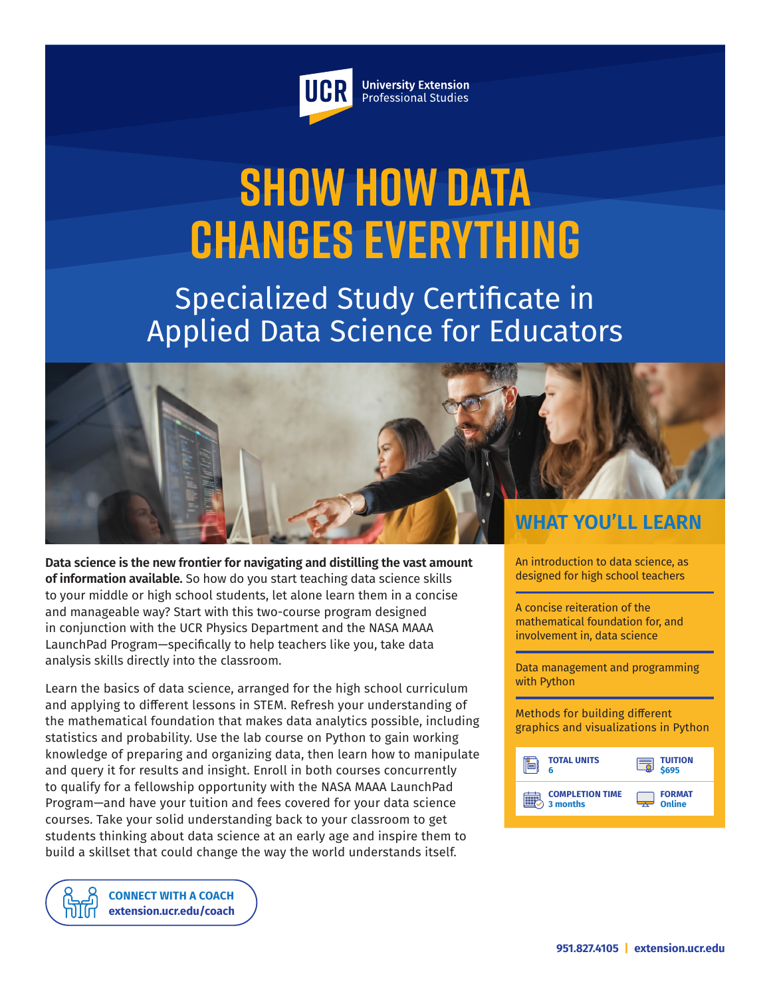

**University Extension** Professional Studies

# **Show How Data Changes Everything**

Specialized Study Certificate in Applied Data Science for Educators



**Data science is the new frontier for navigating and distilling the vast amount of information available.** So how do you start teaching data science skills to your middle or high school students, let alone learn them in a concise and manageable way? Start with this two-course program designed in conjunction with the UCR Physics Department and the NASA MAAA LaunchPad Program—specifically to help teachers like you, take data analysis skills directly into the classroom.

Learn the basics of data science, arranged for the high school curriculum and applying to different lessons in STEM. Refresh your understanding of the mathematical foundation that makes data analytics possible, including statistics and probability. Use the lab course on Python to gain working knowledge of preparing and organizing data, then learn how to manipulate and query it for results and insight. Enroll in both courses concurrently to qualify for a fellowship opportunity with the NASA MAAA LaunchPad Program—and have your tuition and fees covered for your data science courses. Take your solid understanding back to your classroom to get students thinking about data science at an early age and inspire them to build a skillset that could change the way the world understands itself.

An introduction to data science, as designed for high school teachers

A concise reiteration of the mathematical foundation for, and involvement in, data science

Data management and programming with Python

Methods for building different graphics and visualizations in Python



**[CONNECT WITH A COACH](https://extension.ucr.edu/studentresources/studentsuccesscoaches/studentsuccesscoaches) [extension.ucr.edu/coach](http://extension.ucr.edu/coach)**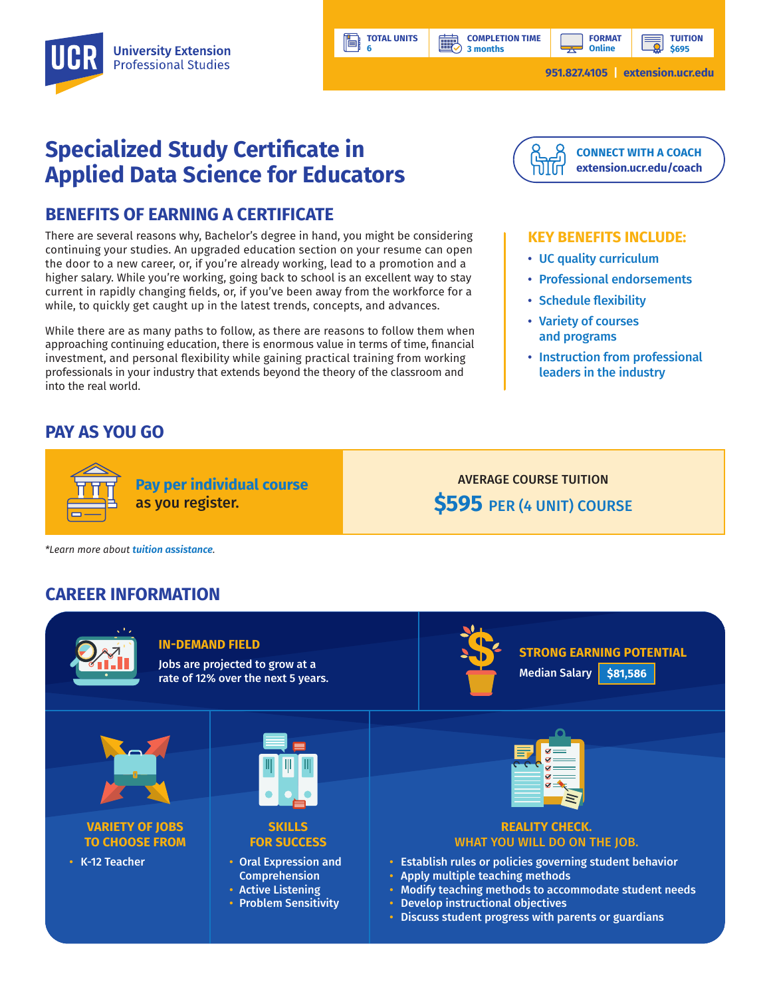

**TOTAL UNITS**

鹽

**6** 

Ħ

**TUITION \$695**

# **Specialized Study Certificate in Applied Data Science for Educators**

## **BENEFITS OF EARNING A CERTIFICATE**

There are several reasons why, Bachelor's degree in hand, you might be considering continuing your studies. An upgraded education section on your resume can open the door to a new career, or, if you're already working, lead to a promotion and a higher salary. While you're working, going back to school is an excellent way to stay current in rapidly changing fields, or, if you've been away from the workforce for a while, to quickly get caught up in the latest trends, concepts, and advances.

While there are as many paths to follow, as there are reasons to follow them when approaching continuing education, there is enormous value in terms of time, financial investment, and personal flexibility while gaining practical training from working professionals in your industry that extends beyond the theory of the classroom and into the real world.

**Pay per individual course**

as you register.

## **PAY AS YOU GO**



#### **KEY BENEFITS INCLUDE:**

- UC quality curriculum
- Professional endorsements
- Schedule flexibility
- Variety of courses and programs

AVERAGE COURSE TUITION

**\$595** PER (4 UNIT) COURSE

• Instruction from professional leaders in the industry

*\*Learn more about tuition assistance.*

## **CAREER INFORMATION**